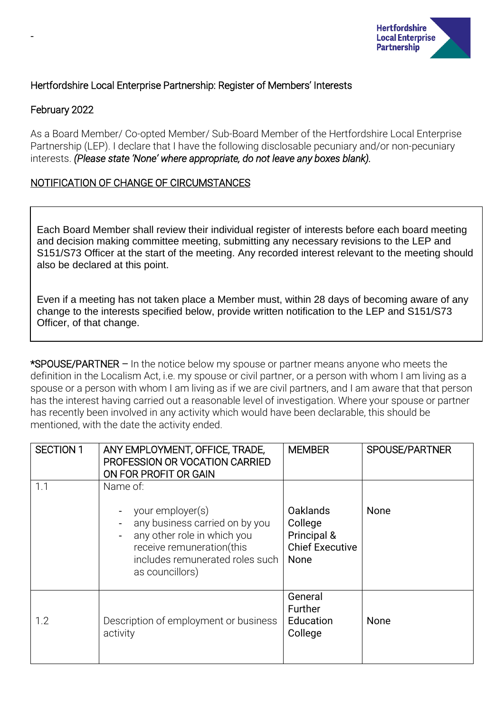

## Hertfordshire Local Enterprise Partnership: Register of Members' Interests

## February 2022

-

As a Board Member/ Co-opted Member/ Sub-Board Member of the Hertfordshire Local Enterprise Partnership (LEP). I declare that I have the following disclosable pecuniary and/or non-pecuniary interests. *(Please state 'None' where appropriate, do not leave any boxes blank).*

## NOTIFICATION OF CHANGE OF CIRCUMSTANCES

Each Board Member shall review their individual register of interests before each board meeting and decision making committee meeting, submitting any necessary revisions to the LEP and S151/S73 Officer at the start of the meeting. Any recorded interest relevant to the meeting should also be declared at this point.

Even if a meeting has not taken place a Member must, within 28 days of becoming aware of any change to the interests specified below, provide written notification to the LEP and S151/S73 Officer, of that change.

\*SPOUSE/PARTNER – In the notice below my spouse or partner means anyone who meets the definition in the Localism Act, i.e. my spouse or civil partner, or a person with whom I am living as a spouse or a person with whom I am living as if we are civil partners, and I am aware that that person has the interest having carried out a reasonable level of investigation. Where your spouse or partner has recently been involved in any activity which would have been declarable, this should be mentioned, with the date the activity ended.

| <b>SECTION 1</b> | ANY EMPLOYMENT, OFFICE, TRADE,<br>PROFESSION OR VOCATION CARRIED<br>ON FOR PROFIT OR GAIN                                                                                        | <b>MEMBER</b>                                                               | SPOUSE/PARTNER |
|------------------|----------------------------------------------------------------------------------------------------------------------------------------------------------------------------------|-----------------------------------------------------------------------------|----------------|
| 1.1              | Name of:<br>your employer(s)<br>any business carried on by you<br>any other role in which you<br>receive remuneration(this<br>includes remunerated roles such<br>as councillors) | <b>Oaklands</b><br>College<br>Principal &<br><b>Chief Executive</b><br>None | None           |
| 1.2              | Description of employment or business<br>activity                                                                                                                                | General<br>Further<br>Education<br>College                                  | <b>None</b>    |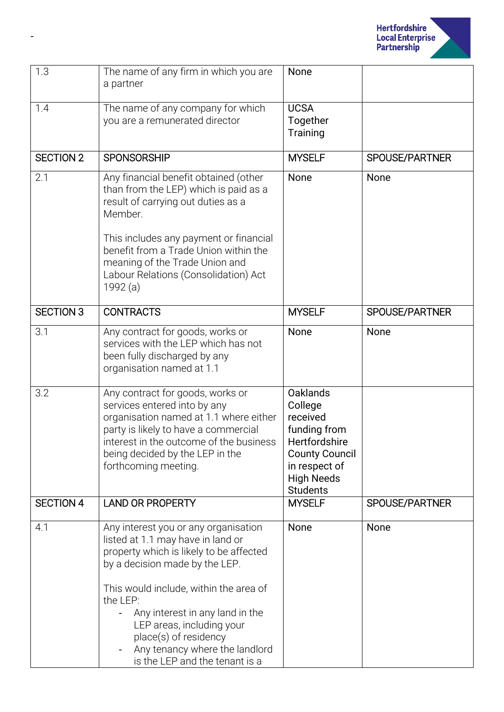

| 1.3              | The name of any firm in which you are<br>a partner                                                                                                                                                                                                                                                                                                                        | None                                                                                                                                                      |                |
|------------------|---------------------------------------------------------------------------------------------------------------------------------------------------------------------------------------------------------------------------------------------------------------------------------------------------------------------------------------------------------------------------|-----------------------------------------------------------------------------------------------------------------------------------------------------------|----------------|
| 1.4              | The name of any company for which<br>you are a remunerated director                                                                                                                                                                                                                                                                                                       | <b>UCSA</b><br>Together<br>Training                                                                                                                       |                |
| <b>SECTION 2</b> | <b>SPONSORSHIP</b>                                                                                                                                                                                                                                                                                                                                                        | <b>MYSELF</b>                                                                                                                                             | SPOUSE/PARTNER |
| 2.1              | Any financial benefit obtained (other<br>than from the LEP) which is paid as a<br>result of carrying out duties as a<br>Member.<br>This includes any payment or financial<br>benefit from a Trade Union within the<br>meaning of the Trade Union and<br>Labour Relations (Consolidation) Act<br>1992 (a)                                                                  | None                                                                                                                                                      | None           |
| <b>SECTION 3</b> | <b>CONTRACTS</b>                                                                                                                                                                                                                                                                                                                                                          | <b>MYSELF</b>                                                                                                                                             | SPOUSE/PARTNER |
| 3.1              | Any contract for goods, works or<br>services with the LEP which has not<br>been fully discharged by any<br>organisation named at 1.1                                                                                                                                                                                                                                      | None                                                                                                                                                      | None           |
| 3.2              | Any contract for goods, works or<br>services entered into by any<br>organisation named at 1.1 where either<br>party is likely to have a commercial<br>interest in the outcome of the business<br>being decided by the LEP in the<br>forthcoming meeting.                                                                                                                  | <b>Oaklands</b><br>College<br>received<br>funding from<br>Hertfordshire<br><b>County Council</b><br>in respect of<br><b>High Needs</b><br><b>Students</b> |                |
| <b>SECTION 4</b> | <b>LAND OR PROPERTY</b>                                                                                                                                                                                                                                                                                                                                                   | <b>MYSELF</b>                                                                                                                                             | SPOUSE/PARTNER |
| 4.1              | Any interest you or any organisation<br>listed at 1.1 may have in land or<br>property which is likely to be affected<br>by a decision made by the LEP.<br>This would include, within the area of<br>the LEP:<br>Any interest in any land in the<br>LEP areas, including your<br>place(s) of residency<br>Any tenancy where the landlord<br>is the LEP and the tenant is a | None                                                                                                                                                      | None           |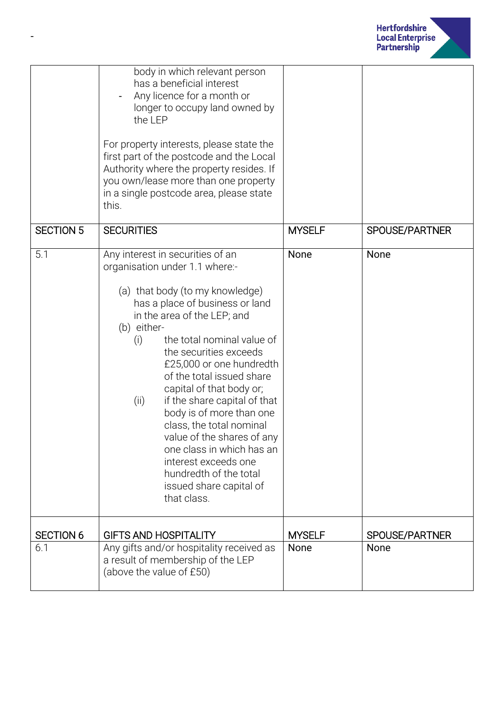

|                  | body in which relevant person<br>has a beneficial interest<br>Any licence for a month or<br>longer to occupy land owned by<br>the LEP<br>For property interests, please state the<br>first part of the postcode and the Local<br>Authority where the property resides. If<br>you own/lease more than one property<br>in a single postcode area, please state<br>this.                                                                                                                                                                                                                             |               |                       |
|------------------|---------------------------------------------------------------------------------------------------------------------------------------------------------------------------------------------------------------------------------------------------------------------------------------------------------------------------------------------------------------------------------------------------------------------------------------------------------------------------------------------------------------------------------------------------------------------------------------------------|---------------|-----------------------|
|                  |                                                                                                                                                                                                                                                                                                                                                                                                                                                                                                                                                                                                   |               |                       |
| <b>SECTION 5</b> | <b>SECURITIES</b>                                                                                                                                                                                                                                                                                                                                                                                                                                                                                                                                                                                 | <b>MYSELF</b> | <b>SPOUSE/PARTNER</b> |
| 5.1              | Any interest in securities of an<br>organisation under 1.1 where:-<br>(a) that body (to my knowledge)<br>has a place of business or land<br>in the area of the LEP; and<br>(b) either-<br>the total nominal value of<br>(i)<br>the securities exceeds<br>£25,000 or one hundredth<br>of the total issued share<br>capital of that body or;<br>if the share capital of that<br>(ii)<br>body is of more than one<br>class, the total nominal<br>value of the shares of any<br>one class in which has an<br>interest exceeds one<br>hundredth of the total<br>issued share capital of<br>that class. | None          | None                  |
| <b>SECTION 6</b> | <b>GIFTS AND HOSPITALITY</b>                                                                                                                                                                                                                                                                                                                                                                                                                                                                                                                                                                      | <b>MYSELF</b> | SPOUSE/PARTNER        |
| 6.1              | Any gifts and/or hospitality received as<br>a result of membership of the LEP<br>(above the value of £50)                                                                                                                                                                                                                                                                                                                                                                                                                                                                                         | None          | None                  |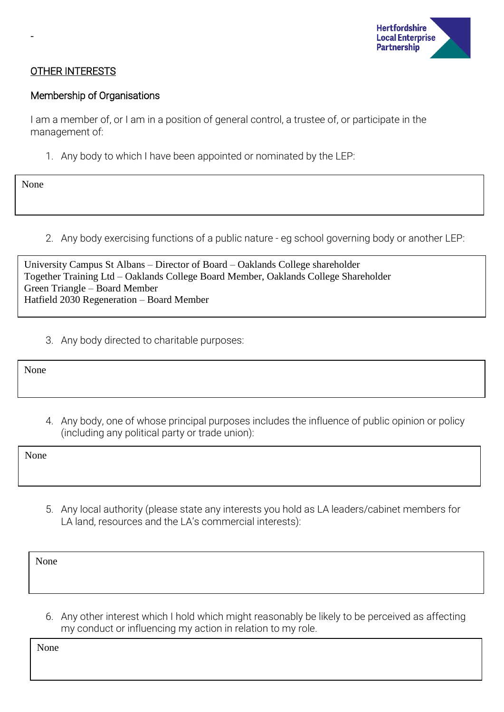

#### OTHER INTERESTS

#### Membership of Organisations

I am a member of, or I am in a position of general control, a trustee of, or participate in the management of:

1. Any body to which I have been appointed or nominated by the LEP:

None

-

2. Any body exercising functions of a public nature - eg school governing body or another LEP:

| University Campus St Albans – Director of Board – Oaklands College shareholder      |
|-------------------------------------------------------------------------------------|
| Together Training Ltd – Oaklands College Board Member, Oaklands College Shareholder |
| Green Triangle – Board Member                                                       |
| Hatfield 2030 Regeneration – Board Member                                           |

3. Any body directed to charitable purposes:

None

4. Any body, one of whose principal purposes includes the influence of public opinion or policy (including any political party or trade union):

None

5. Any local authority (please state any interests you hold as LA leaders/cabinet members for LA land, resources and the LA's commercial interests):

None

6. Any other interest which I hold which might reasonably be likely to be perceived as affecting my conduct or influencing my action in relation to my role.

None